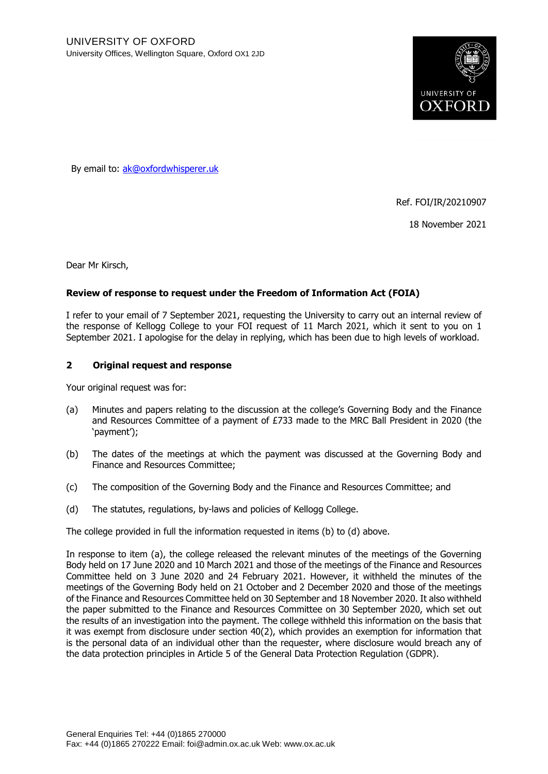

By email to: ak@oxfordwhisperer.uk

Ref. FOI/IR/20210907

18 November 2021

Dear Mr Kirsch,

## **Review of response to request under the Freedom of Information Act (FOIA)**

I refer to your email of 7 September 2021, requesting the University to carry out an internal review of the response of Kellogg College to your FOI request of 11 March 2021, which it sent to you on 1 September 2021. I apologise for the delay in replying, which has been due to high levels of workload.

## **2 Original request and response**

Your original request was for:

- (a) Minutes and papers relating to the discussion at the college's Governing Body and the Finance and Resources Committee of a payment of £733 made to the MRC Ball President in 2020 (the 'payment');
- (b) The dates of the meetings at which the payment was discussed at the Governing Body and Finance and Resources Committee;
- (c) The composition of the Governing Body and the Finance and Resources Committee; and
- (d) The statutes, regulations, by-laws and policies of Kellogg College.

The college provided in full the information requested in items (b) to (d) above.

In response to item (a), the college released the relevant minutes of the meetings of the Governing Body held on 17 June 2020 and 10 March 2021 and those of the meetings of the Finance and Resources Committee held on 3 June 2020 and 24 February 2021. However, it withheld the minutes of the meetings of the Governing Body held on 21 October and 2 December 2020 and those of the meetings of the Finance and Resources Committee held on 30 September and 18 November 2020. It also withheld the paper submitted to the Finance and Resources Committee on 30 September 2020, which set out the results of an investigation into the payment. The college withheld this information on the basis that it was exempt from disclosure under section 40(2), which provides an exemption for information that is the personal data of an individual other than the requester, where disclosure would breach any of the data protection principles in Article 5 of the General Data Protection Regulation (GDPR).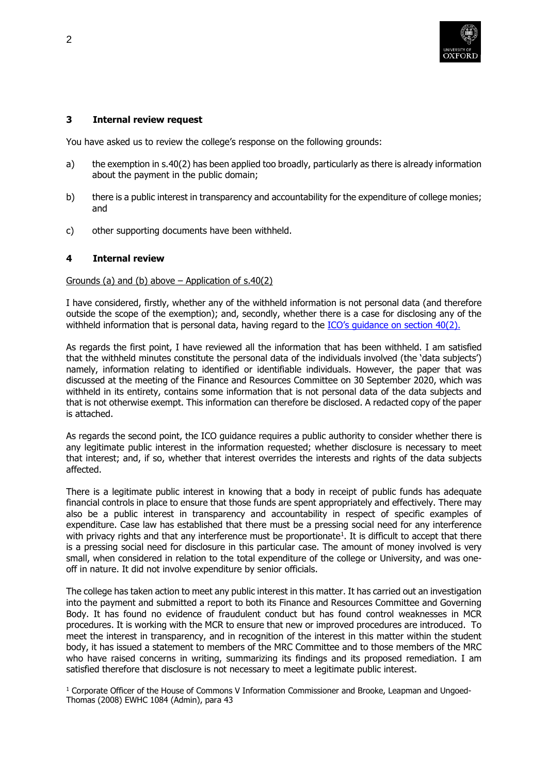

# **3 Internal review request**

You have asked us to review the college's response on the following grounds:

- a) the exemption in s.40(2) has been applied too broadly, particularly as there is already information about the payment in the public domain;
- b) there is a public interest in transparency and accountability for the expenditure of college monies; and
- c) other supporting documents have been withheld.

### **4 Internal review**

## Grounds (a) and (b) above  $-$  Application of s.40(2)

I have considered, firstly, whether any of the withheld information is not personal data (and therefore outside the scope of the exemption); and, secondly, whether there is a case for disclosing any of the withheld information that is personal data, having regard to the ICO's guidance on section 40(2).

As regards the first point, I have reviewed all the information that has been withheld. I am satisfied that the withheld minutes constitute the personal data of the individuals involved (the 'data subjects') namely, information relating to identified or identifiable individuals. However, the paper that was discussed at the meeting of the Finance and Resources Committee on 30 September 2020, which was withheld in its entirety, contains some information that is not personal data of the data subjects and that is not otherwise exempt. This information can therefore be disclosed. A redacted copy of the paper is attached.

As regards the second point, the ICO guidance requires a public authority to consider whether there is any legitimate public interest in the information requested; whether disclosure is necessary to meet that interest; and, if so, whether that interest overrides the interests and rights of the data subjects affected.

There is a legitimate public interest in knowing that a body in receipt of public funds has adequate financial controls in place to ensure that those funds are spent appropriately and effectively. There may also be a public interest in transparency and accountability in respect of specific examples of expenditure. Case law has established that there must be a pressing social need for any interference with privacy rights and that any interference must be proportionate<sup>1</sup>. It is difficult to accept that there is a pressing social need for disclosure in this particular case. The amount of money involved is very small, when considered in relation to the total expenditure of the college or University, and was oneoff in nature. It did not involve expenditure by senior officials.

The college has taken action to meet any public interest in this matter. It has carried out an investigation into the payment and submitted a report to both its Finance and Resources Committee and Governing Body. It has found no evidence of fraudulent conduct but has found control weaknesses in MCR procedures. It is working with the MCR to ensure that new or improved procedures are introduced. To meet the interest in transparency, and in recognition of the interest in this matter within the student body, it has issued a statement to members of the MRC Committee and to those members of the MRC who have raised concerns in writing, summarizing its findings and its proposed remediation. I am satisfied therefore that disclosure is not necessary to meet a legitimate public interest.

<sup>1</sup> Corporate Officer of the House of Commons V Information Commissioner and Brooke, Leapman and Ungoed-Thomas (2008) EWHC 1084 (Admin), para 43